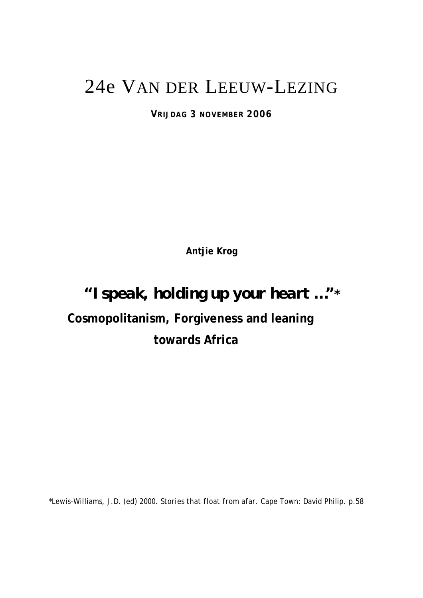## 24e VAN DER LEEUW-LEZING

**VRIJDAG 3 NOVEMBER 2006** 

**Antjie Krog** 

## *"I speak, holding up your heart …"\**

# **Cosmopolitanism, Forgiveness and leaning**

### **towards Africa**

\*Lewis-Williams, J.D. (ed) 2000. *Stories that float from afar.* Cape Town*:* David Philip. p.58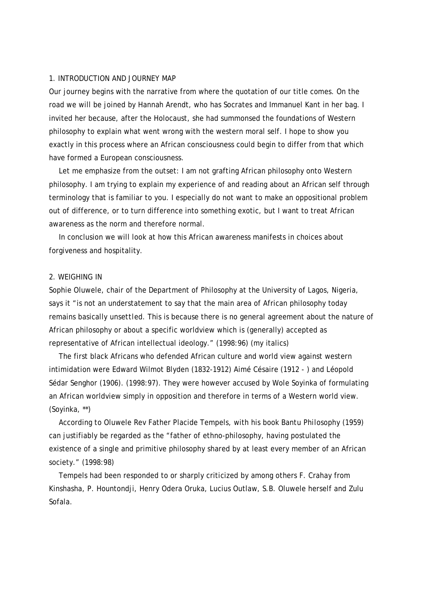#### 1. INTRODUCTION AND JOURNEY MAP

Our journey begins with the narrative from where the quotation of our title comes. On the road we will be joined by Hannah Arendt, who has Socrates and Immanuel Kant in her bag. I invited her because, after the Holocaust, she had summonsed the foundations of Western philosophy to explain what went wrong with the western moral self. I hope to show you exactly in this process where an African consciousness could begin to differ from that which have formed a European consciousness.

 Let me emphasize from the outset: I am not grafting African philosophy onto Western philosophy. I am trying to explain my experience of and reading about an African self through terminology that is familiar to you. I especially do not want to make an oppositional problem out of difference, or to turn difference into something exotic, but I want to treat African awareness as the norm and therefore normal.

 In conclusion we will look at how this African awareness manifests in choices about forgiveness and hospitality.

#### 2. WEIGHING IN

Sophie Oluwele, chair of the Department of Philosophy at the University of Lagos, Nigeria, says it "is not an understatement to say that the main area of African philosophy today remains basically *unsettled*. This is because there is no general agreement about the nature of African philosophy or about a specific worldview which is (generally) accepted as representative of African intellectual ideology." (1998:96) (my italics)

 The first black Africans who defended African culture and world view against western intimidation were Edward Wilmot Blyden (1832-1912) Aimé Césaire (1912 - ) and Léopold Sédar Senghor (1906). (1998:97). They were however accused by Wole Soyinka of formulating an African worldview simply in opposition and therefore in terms of a Western world view. (Soyinka, \*\*)

 According to Oluwele Rev Father Placide Tempels, with his book *Bantu Philosophy* (1959) can justifiably be regarded as the "father of ethno-philosophy, having postulated the existence of a single and primitive philosophy shared by at least every member of an African society." (1998:98)

 Tempels had been responded to or sharply criticized by among others F. Crahay from Kinshasha, P. Hountondji, Henry Odera Oruka, Lucius Outlaw, S.B. Oluwele herself and Zulu Sofala.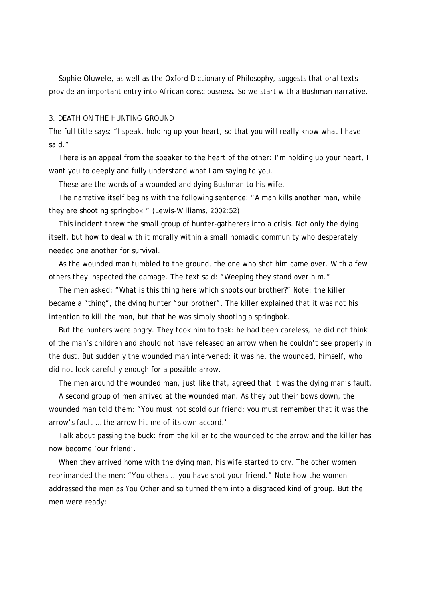Sophie Oluwele, as well as the Oxford Dictionary of Philosophy, suggests that oral texts provide an important entry into African consciousness. So we start with a Bushman narrative.

#### 3. DEATH ON THE HUNTING GROUND

The full title says: "I speak, holding up your heart, so that you will really know what I have said."

 There is an appeal from the speaker to the heart of the other: I'm holding up your heart, I want you to deeply and fully understand what I am saying to you.

These are the words of a wounded and dying Bushman to his wife.

 The narrative itself begins with the following sentence: "A man kills another man, while they are shooting springbok." (Lewis-Williams, 2002:52)

 This incident threw the small group of hunter-gatherers into a crisis. Not only the dying itself, but how to deal with it morally within a small nomadic community who desperately needed one another for survival.

 As the wounded man tumbled to the ground, the one who shot him came over. With a few others they inspected the damage. The text said: "Weeping they stand over him."

 The men asked: "What is this *thing* here which shoots our brother?" Note: the killer became a "thing", the dying hunter "our brother". The killer explained that it was not his intention to kill the man, but that he was simply shooting a springbok.

 But the hunters were angry. They took him to task: he had been careless, he did not think of the man's children and should not have released an arrow when he couldn't see properly in the dust. But suddenly the wounded man intervened: it was he, the wounded, himself, who did not look carefully enough for a possible arrow.

The men around the wounded man, just like that, agreed that it was the dying man's fault.

 A second group of men arrived at the wounded man. As they put their bows down, the wounded man told them: "You must not scold our friend; you must remember that it was the arrow's fault … the arrow hit me of its own accord."

 Talk about passing the buck: from the killer to the wounded to the arrow and the killer has now become 'our friend'.

 When they arrived home with the dying man, his wife started to cry. The other women reprimanded the men: "You others … you have shot your friend." Note how the women addressed the men as You Other and so turned them into a disgraced kind of group. But the men were ready: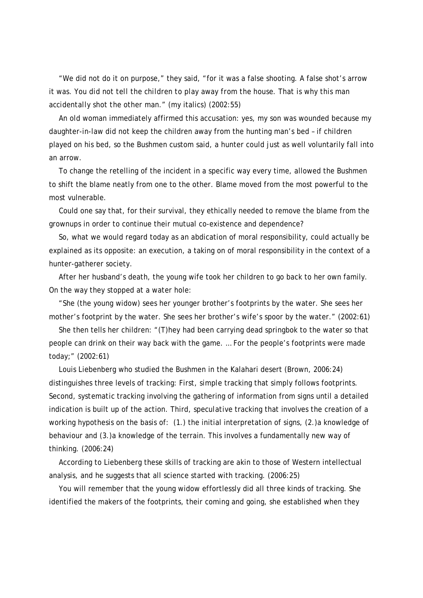"We did not do it on purpose," they said, "for it was a false shooting. A false shot's arrow it was. *You did not tell the children to play away from the house. That is why this man accidentally shot the other man.*" (my italics) (2002:55)

 An old woman immediately affirmed this accusation: yes, my son was wounded because my daughter-in-law did not keep the children away from the hunting man's bed – if children played on his bed, so the Bushmen custom said, a hunter could just as well voluntarily fall into an arrow.

 To change the retelling of the incident in a specific way every time, allowed the Bushmen to shift the blame neatly from one to the other. Blame moved from the most powerful to the most vulnerable.

 Could one say that, for their survival, they ethically *needed* to remove the blame from the grownups in order to continue their mutual co-existence and dependence?

 So, what we would regard today as an abdication of moral responsibility, could actually be explained as its opposite: an execution, a taking on of moral responsibility in the context of a hunter-gatherer society.

 After her husband's death, the young wife took her children to go back to her own family. On the way they stopped at a water hole:

 "She (the young widow) sees her younger brother's footprints by the water. She sees her mother's footprint by the water. She sees her brother's wife's spoor by the water." (2002:61)

 She then tells her children: "(T)hey had been carrying dead springbok to the water so that people can drink on their way back with the game. … For the people's footprints were made today;" (2002:61)

 Louis Liebenberg who studied the Bushmen in the Kalahari desert (Brown, 2006:24) distinguishes three levels of tracking: First, *simple* tracking that simply follows footprints. Second, *systematic* tracking involving the gathering of information from signs until a detailed indication is built up of the action. Third, *speculative* tracking that involves the creation of a working hypothesis on the basis of: (1.) the initial interpretation of signs, (2.)a knowledge of behaviour and (3.)a knowledge of the terrain. This involves a fundamentally new way of thinking. (2006:24)

 According to Liebenberg these skills of tracking are akin to those of Western intellectual analysis, and he suggests that all science started with tracking. (2006:25)

 You will remember that the young widow effortlessly did all three kinds of tracking. She identified the makers of the footprints, their coming and going, she established when they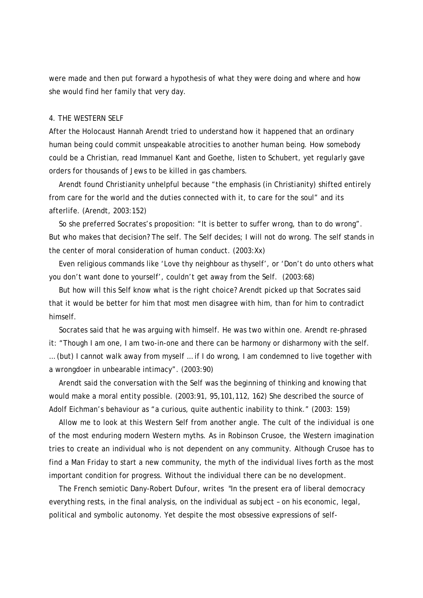were made and then put forward a hypothesis of what they were doing and where and how she would find her family that very day.

#### 4. THE WESTERN SELF

After the Holocaust Hannah Arendt tried to understand how it happened that an ordinary human being could commit unspeakable atrocities to another human being. How somebody could be a Christian, read Immanuel Kant and Goethe, listen to Schubert, yet regularly gave orders for thousands of Jews to be killed in gas chambers.

 Arendt found Christianity unhelpful because "the emphasis (in Christianity) shifted entirely from care for the world and the duties connected with it, to care for the soul" and its afterlife. (Arendt, 2003:152)

 So she preferred Socrates's proposition: "It is better to suffer wrong, than to do wrong". But who makes that decision? The self. The Self decides; I will not do wrong. The self stands in the center of moral consideration of human conduct. (2003:Xx)

 Even religious commands like 'Love thy neighbour as thyself', or 'Don't do unto others what you don't want done to yourself', couldn't get away from the Self. (2003:68)

 But how will this Self know what is the right choice? Arendt picked up that Socrates said that it would be better for him that most men disagree with him, than for him to contradict himself.

 Socrates said that he was arguing with himself. He was two within one. Arendt re-phrased it: "Though I am one, I am two-in-one and there can be harmony or disharmony with the self. … (but) I cannot walk away from myself … if I do wrong, I am condemned to live together with a wrongdoer in unbearable intimacy". (2003:90)

 Arendt said the conversation with the Self was the beginning of thinking and knowing that would make a moral entity possible. (2003:91, 95,101,112, 162) She described the source of Adolf Eichman's behaviour as "a curious, quite authentic inability to think." (2003: 159)

 Allow me to look at this Western Self from another angle. The cult of the individual is one of the most enduring modern Western myths. As in Robinson Crusoe, the Western imagination tries to create an individual who is not dependent on any community. Although Crusoe has to find a Man Friday to start a new community, the myth of the individual lives forth as the most important condition for progress. Without the individual there can be no development.

 The French semiotic Dany-Robert Dufour, writes "In the present era of liberal democracy everything rests, in the final analysis, on the individual as subject – on his economic, legal, political and symbolic autonomy. Yet despite the most obsessive expressions of self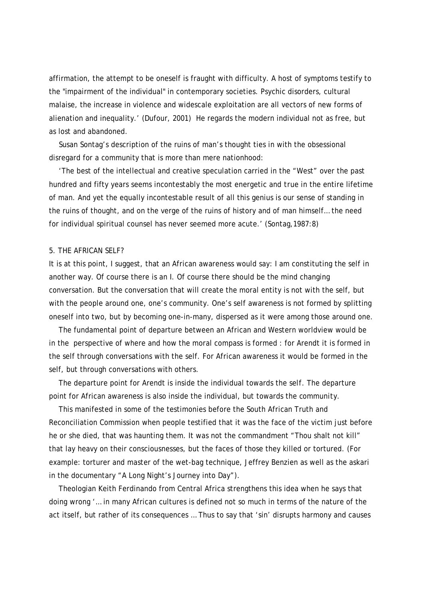affirmation, the attempt to be oneself is fraught with difficulty. A host of symptoms testify to the "impairment of the individual" in contemporary societies. Psychic disorders, cultural malaise, the increase in violence and widescale exploitation are all vectors of new forms of alienation and inequality.' (Dufour, 2001) He regards the modern individual not as free, but as lost and abandoned.

 Susan Sontag's description of the ruins of man's thought ties in with the obsessional disregard for a community that is more than mere nationhood:

 'The best of the intellectual and creative speculation carried in the "West" over the past hundred and fifty years seems incontestably the most energetic and *true* in the entire lifetime of man. And yet the equally incontestable result of all this genius is our sense of standing in the ruins of thought, and on the verge of the ruins of history and of man himself… the need for individual spiritual counsel has never seemed more acute.' (Sontag,1987:8)

#### 5. THE AFRICAN SELF?

It is at this point, I suggest, that an African awareness would say: I am constituting the self in another way. Of course there is an I. Of course there should be the mind changing conversation. But the conversation that will create the moral entity is not with the self, but with the people around one, one's community. One's self awareness is not formed by splitting oneself into two, but by becoming one-in-many, dispersed as it were among those around one.

 The fundamental point of departure between an African and Western worldview would be in the perspective of where and how the moral compass is formed : for Arendt it is formed in the self through conversations with the self. For African awareness it would be formed in the self, but through conversations with others.

 The departure point for Arendt is inside the individual towards the *self*. The departure point for African awareness is also inside the individual, but towards the *community*.

 This manifested in some of the testimonies before the South African Truth and Reconciliation Commission when people testified that it was the face of the victim just before he or she died, that was haunting them. It was not the commandment "Thou shalt not kill" that lay heavy on their consciousnesses, but the faces of those they killed or tortured. (For example: torturer and master of the wet-bag technique, Jeffrey Benzien as well as the askari in the documentary "A Long Night's Journey into Day").

 Theologian Keith Ferdinando from Central Africa strengthens this idea when he says that doing wrong '… in many African cultures is defined not so much in terms of the nature of the act itself, but rather of its consequences … Thus to say that 'sin' disrupts harmony and causes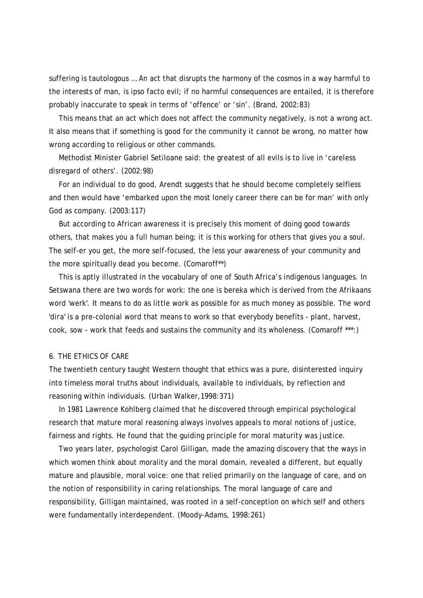suffering is tautologous … An act that disrupts the harmony of the cosmos in a way harmful to the interests of man, is ipso facto evil; if no harmful consequences are entailed, it is therefore probably inaccurate to speak in terms of 'offence' or 'sin'. (Brand, 2002:83)

 This means that an act which does not affect the community negatively, is not a wrong act. It also means that if something is good for the community it cannot be wrong, no matter how wrong according to religious or other commands.

 Methodist Minister Gabriel Setiloane said: the greatest of all evils is to live in 'careless disregard of others'. (2002:98)

 For an individual to do good, Arendt suggests that he should become completely selfless and then would have 'embarked upon the most lonely career there can be for man' with only God as company. (2003:117)

 But according to African awareness it is precisely this moment of doing good towards others, that makes you a full human being; it is this working for others that gives you a soul. The self-er you get, the more self-focused, the less your awareness of your community and the more spiritually dead you become. (Comaroff\*\*)

 This is aptly illustrated in the vocabulary of one of South Africa's indigenous languages. In Setswana there are two words for work: the one is *bereka* which is derived from the Afrikaans word 'werk'. It means to do as little work as possible for as much money as possible. The word '*dira'* is a pre-colonial word that means to work so that everybody benefits - plant, harvest, cook, sow - work that feeds and sustains the community and its wholeness. (Comaroff \*\*\*:)

#### 6. THE ETHICS OF CARE

The twentieth century taught Western thought that ethics was a pure, disinterested inquiry into timeless moral truths about individuals, available to individuals, by reflection and reasoning within individuals. (Urban Walker,1998:371)

 In 1981 Lawrence Kohlberg claimed that he discovered through empirical psychological research that mature moral reasoning always involves appeals to moral notions of justice, fairness and rights. He found that the guiding principle for moral maturity was justice.

 Two years later, psychologist Carol Gilligan, made the amazing discovery that the ways in which women think about morality and the moral domain, revealed a different, but equally mature and plausible, moral voice: one that relied primarily on the language of care, and on the notion of responsibility in caring relationships. The moral language of care and responsibility, Gilligan maintained, was rooted in a self-conception on which self and others were fundamentally interdependent. (Moody-Adams, 1998:261)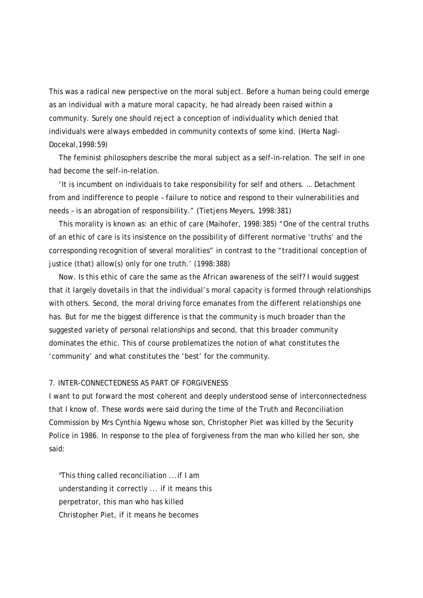This was a radical new perspective on the moral subject. Before a human being could emerge as an individual with a mature moral capacity, he had already been raised within a community. Surely one should reject a conception of individuality which denied that individuals were always embedded in community contexts of some kind. (Herta Nagl-Docekal,1998:59)

 The feminist philosophers describe the moral subject as a self-in-relation. The self in one had become the self-in-relation.

 'It is incumbent on individuals to take responsibility for self and others. … Detachment from and indifference to people – failure to notice and respond to their vulnerabilities and needs – is an abrogation of responsibility." (Tietjens Meyers, 1998:381)

 This morality is known as: an ethic of care (Maihofer, 1998:385) "One of the central truths of an ethic of care is its insistence on the possibility of different normative 'truths' and the corresponding recognition of several moralities" in contrast to the "traditional conception of justice (that) allow(s) only for one truth.' (1998:388)

 Now. Is this ethic of care the same as the African awareness of the self? I would suggest that it largely dovetails in that the individual's moral capacity is formed through relationships with others. Second, the moral driving force emanates from the different relationships one has. But for me the biggest difference is that the community is much broader than the suggested variety of personal relationships and second, that this broader community dominates the ethic. This of course problematizes the notion of what constitutes the 'community' and what constitutes the 'best' for the community.

#### 7. INTER-CONNECTEDNESS AS PART OF FORGIVENESS

I want to put forward the most coherent and deeply understood sense of interconnectedness that I know of. These words were said during the time of the Truth and Reconciliation Commission by Mrs Cynthia Ngewu whose son, Christopher Piet was killed by the Security Police in 1986. In response to the plea of forgiveness from the man who killed her son, she said:

 "This thing called reconciliation ...if I am understanding it correctly ... if it means this perpetrator, this man who has killed Christopher Piet, if it means he becomes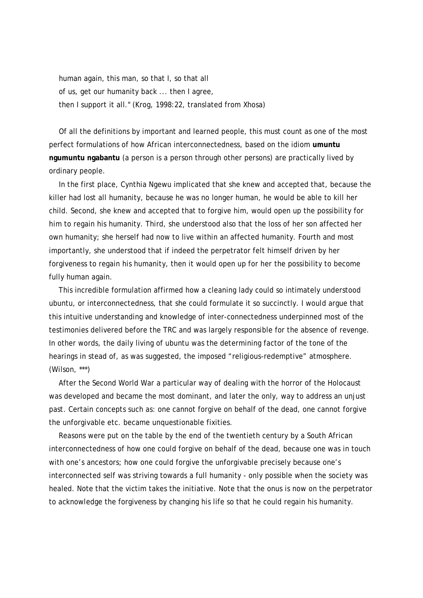human again, this man, so that I, so that all of us, get our humanity back ... then I agree, then I support it all." (Krog, 1998:22, translated from Xhosa)

 Of all the definitions by important and learned people, this must count as one of the most perfect formulations of how African interconnectedness, based on the idiom **umuntu ngumuntu ngabantu** (a person is a person through other persons) are practically lived by ordinary people.

 In the first place, Cynthia Ngewu implicated that she knew and accepted that, because the killer had lost all humanity, because he was no longer human, he would be able to kill her child. Second, she knew and accepted that to forgive him, would open up the possibility for *him* to regain his humanity. Third, she understood also that the loss of her son affected her own humanity; she herself had now to live within an affected humanity. Fourth and most importantly, she understood that if indeed the perpetrator felt himself driven by her forgiveness to regain his humanity, then it would open up for *her* the possibility to become fully human again.

 This incredible formulation affirmed how a cleaning lady could so intimately understood ubuntu, or interconnectedness, that she could formulate it so succinctly. I would argue that this intuitive understanding and knowledge of inter-connectedness underpinned most of the testimonies delivered before the TRC and was largely responsible for the absence of revenge. In other words, the daily living of ubuntu was the determining factor of the tone of the hearings in stead of, as was suggested, the imposed "religious-redemptive" atmosphere. (Wilson, \*\*\*)

 After the Second World War a particular way of dealing with the horror of the Holocaust was developed and became the most dominant, and later the only, way to address an unjust past. Certain concepts such as: one cannot forgive on behalf of the dead, one cannot forgive the unforgivable etc. became unquestionable fixities.

 Reasons were put on the table by the end of the twentieth century by a South African interconnectedness of how one could forgive on behalf of the dead, because one was in touch with one's ancestors; how one could forgive the unforgivable precisely because one's interconnected self was striving towards a full humanity - only possible when the society was healed. Note that the victim takes the initiative. Note that the onus is now on the perpetrator to acknowledge the forgiveness by changing his life so that he could regain his humanity.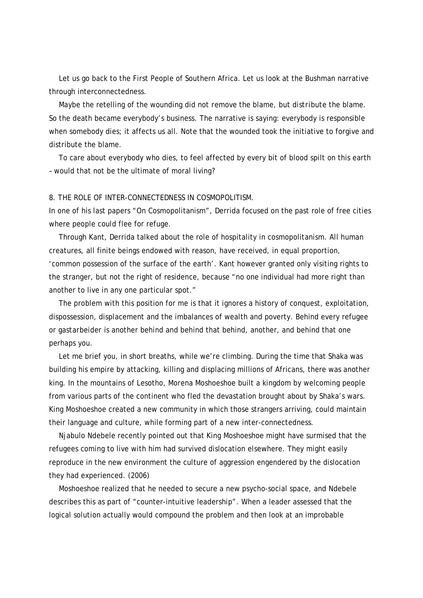Let us go back to the First People of Southern Africa. Let us look at the Bushman narrative through interconnectedness.

 Maybe the retelling of the wounding did not *remove* the blame, but *distribute* the blame. So the death became everybody's business. The narrative is saying: everybody is responsible when somebody dies; it affects us all. Note that the wounded took the initiative to forgive and distribute the blame.

 To care about everybody who dies, to feel affected by every bit of blood spilt on this earth – would that not be the ultimate of moral living?

#### 8. THE ROLE OF INTER-CONNECTEDNESS IN COSMOPOLITISM.

In one of his last papers "On Cosmopolitanism", Derrida focused on the past role of free cities where people could flee for refuge.

 Through Kant, Derrida talked about the role of hospitality in cosmopolitanism. All human creatures, all finite beings endowed with reason, have received, in equal proportion, 'common possession of the surface of the earth'. Kant however granted only visiting rights to the stranger, but not the right of residence, because "no one individual had more right than another to live in any one particular spot."

 The problem with this position for me is that it ignores a history of conquest, exploitation, dispossession, displacement and the imbalances of wealth and poverty. Behind every refugee or *gastarbeider* is another behind and behind that behind, another, and behind that one perhaps you.

 Let me brief you, in short breaths, while we're climbing. During the time that Shaka was building his empire by attacking, killing and displacing millions of Africans, there was another king. In the mountains of Lesotho, Morena Moshoeshoe built a kingdom by welcoming people from various parts of the continent who fled the devastation brought about by Shaka's wars. King Moshoeshoe created a new community in which those strangers arriving, could maintain their language and culture, while forming part of a new inter-connectedness.

 Njabulo Ndebele recently pointed out that King Moshoeshoe might have surmised that the refugees coming to live with him had survived dislocation elsewhere. They might easily reproduce in the new environment the culture of aggression engendered by the dislocation they had experienced. (2006)

 Moshoeshoe realized that he needed to secure a new psycho-social space, and Ndebele describes this as part of "counter-intuitive leadership". When a leader assessed that the logical solution actually would compound the problem and then look at an improbable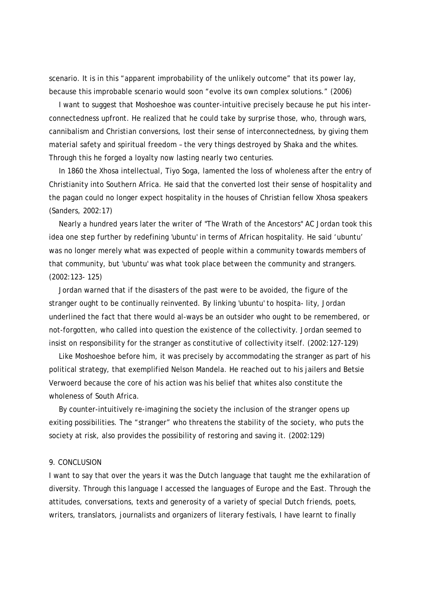scenario. It is in this "apparent improbability of the unlikely outcome" that its power lay, because this improbable scenario would soon "evolve its own complex solutions." (2006)

 I want to suggest that Moshoeshoe was counter-intuitive precisely because he put his interconnectedness upfront. He realized that he could take by surprise those, who, through wars, cannibalism and Christian conversions, lost their sense of interconnectedness, by giving them material safety and spiritual freedom – the very things destroyed by Shaka and the whites. Through this he forged a loyalty now lasting nearly two centuries.

 In 1860 the Xhosa intellectual, Tiyo Soga, lamented the loss of wholeness after the entry of Christianity into Southern Africa. He said that the converted lost their sense of hospitality and the pagan could no longer expect hospitality in the houses of Christian fellow Xhosa speakers (Sanders, 2002:17)

 Nearly a hundred years later the writer of "The Wrath of the Ancestors" AC Jordan took this idea one step further by redefining 'ubuntu' in terms of African hospitality. He said 'ubuntu' was no longer merely what was expected of people within a community towards members of that community, but 'ubuntu' was what took place between the community and strangers. (2002:123- 125)

 Jordan warned that if the disasters of the past were to be avoided, the figure of the stranger ought to be continually reinvented. By linking 'ubuntu' to hospita- lity, Jordan underlined the fact that there would al-ways be an outsider who ought to be remembered, or not-forgotten, who called into question the existence of the collectivity. Jordan seemed to insist on responsibility for the stranger as constitutive of collectivity itself. (2002:127-129)

 Like Moshoeshoe before him, it was precisely by accommodating the stranger as part of his political strategy, that exemplified Nelson Mandela. He reached out to his jailers and Betsie Verwoerd because the core of his action was his belief that whites also constitute the wholeness of South Africa.

 By counter-intuitively re-imagining the society the inclusion of the stranger opens up exiting possibilities. The "stranger" who threatens the stability of the society, who puts the society at risk, also provides the possibility of restoring and saving it. (2002:129)

#### 9. CONCLUSION

I want to say that over the years it was the Dutch language that taught me the exhilaration of diversity. Through this language I accessed the languages of Europe and the East. Through the attitudes, conversations, texts and generosity of a variety of special Dutch friends, poets, writers, translators, journalists and organizers of literary festivals, I have learnt to finally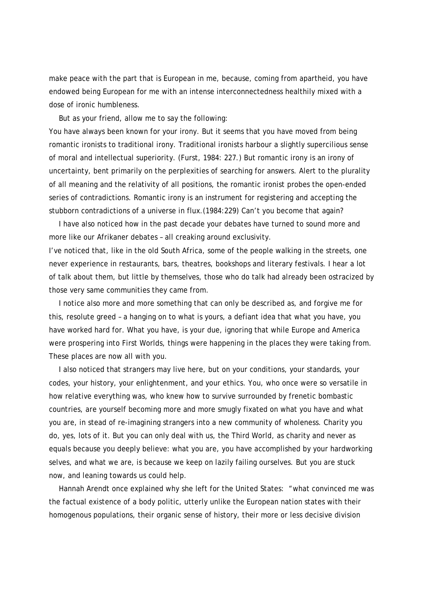make peace with the part that is European in me, because, coming from apartheid, you have endowed being European for me with an intense interconnectedness healthily mixed with a dose of ironic humbleness.

But as your friend, allow me to say the following:

You have always been known for your irony. But it seems that you have moved from being romantic ironists to traditional irony. Traditional ironists harbour a slightly supercilious sense of moral and intellectual superiority. (Furst, 1984: 227.) But romantic irony is an irony of uncertainty, bent primarily on the perplexities of searching for answers. Alert to the plurality of all meaning and the relativity of all positions, the romantic ironist probes the open-ended series of contradictions. Romantic irony is an instrument for registering and accepting the stubborn contradictions of a universe in flux.(1984:229) Can't you become that again?

 I have also noticed how in the past decade your debates have turned to sound more and more like our Afrikaner debates – all creaking around exclusivity.

I've noticed that, like in the old South Africa, some of the people walking in the streets, one never experience in restaurants, bars, theatres, bookshops and literary festivals. I hear a lot of talk about them, but little by themselves, those who do talk had already been ostracized by those very same communities they came from.

 I notice also more and more something that can only be described as, and forgive me for this, resolute greed – a hanging on to what is yours, a defiant idea that what you have, you have worked hard for. What you have, is your due, ignoring that while Europe and America were prospering into First Worlds, things were happening in the places they were taking from. These places are now all with you.

 I also noticed that strangers may live here, but on your conditions, your standards, your codes, your history, your enlightenment, and your ethics. You, who once were so versatile in how relative everything was, who knew how to survive surrounded by frenetic bombastic countries, are yourself becoming more and more smugly fixated on what you have and what you are, in stead of re-imagining strangers into a new community of wholeness. Charity you do, yes, lots of it. But you can only deal with us, the Third World, as charity and never as equals because you deeply believe: what you are, you have accomplished by your hardworking selves, and what we are, is because we keep on lazily failing ourselves. But you are stuck now, and leaning towards us could help.

 Hannah Arendt once explained why she left for the United States: "what convinced me was the factual existence of a body politic, utterly unlike the European nation states with their homogenous populations, their organic sense of history, their more or less decisive division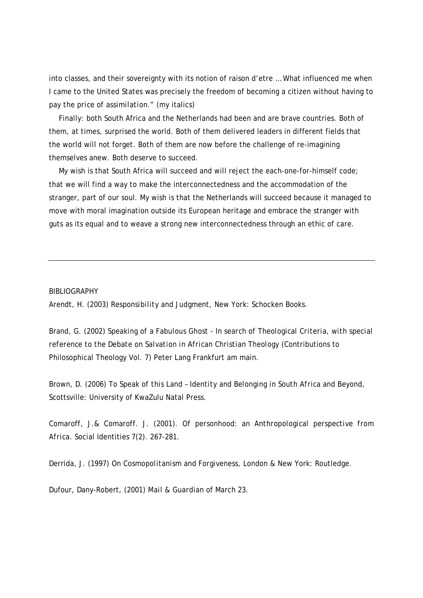into classes, and their sovereignty with its notion of raison d'etre … What influenced me when I came to the United States was precisely the freedom of becoming a citizen without having to pay *the price of assimilation*." (my italics)

 Finally: both South Africa and the Netherlands had been and are brave countries. Both of them, at times, surprised the world. Both of them delivered leaders in different fields that the world will not forget. Both of them are now before the challenge of re-imagining themselves anew. Both deserve to succeed.

 My wish is that South Africa will succeed and will reject the each-one-for-himself code; that we will find a way to make the interconnectedness and the accommodation of the stranger, part of our soul. My wish is that the Netherlands will succeed because it managed to move with moral imagination outside its European heritage and embrace the stranger with guts as its equal and to weave a strong new interconnectedness through an ethic of care.

#### BIBLIOGRAPHY

Arendt, H. (2003) *Responsibility and Judgment,* New York: Schocken Books.

Brand, G. (2002) *Speaking of a Fabulous Ghost - In search of Theological Criteria, with special reference to the Debate on Salvation in African Christian Theology* (Contributions to Philosophical Theology Vol. 7) Peter Lang Frankfurt am main.

Brown, D. (2006) *To Speak of this Land – Identity and Belonging in South Africa and Beyond,* Scottsville: University of KwaZulu Natal Press.

Comaroff, J.& Comaroff. J. (2001). *Of personhood: an Anthropological perspective from Africa*. Social Identities 7(2). 267-281.

Derrida, J. (1997) *On Cosmopolitanism and Forgiveness,* London & New York: Routledge.

Dufour, Dany-Robert, (2001) *Mail & Guardian* of March 23.